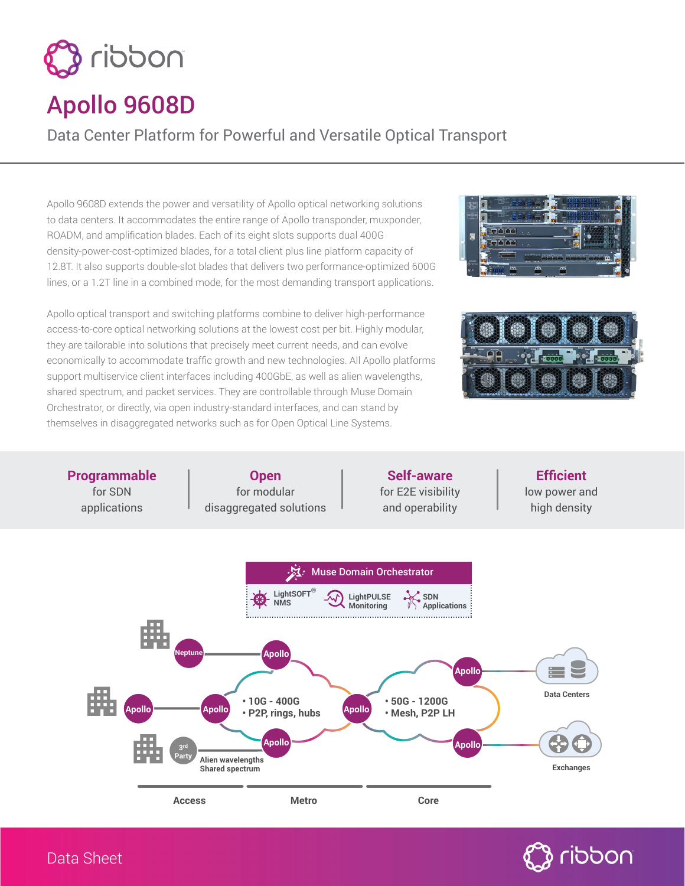

## Apollo 9608D

Data Center Platform for Powerful and Versatile Optical Transport

Apollo 9608D extends the power and versatility of Apollo optical networking solutions to data centers. It accommodates the entire range of Apollo transponder, muxponder, ROADM, and amplification blades. Each of its eight slots supports dual 400G density-power-cost-optimized blades, for a total client plus line platform capacity of 12.8T. It also supports double-slot blades that delivers two performance-optimized 600G lines, or a 1.2T line in a combined mode, for the most demanding transport applications.

Apollo optical transport and switching platforms combine to deliver high-performance access-to-core optical networking solutions at the lowest cost per bit. Highly modular, they are tailorable into solutions that precisely meet current needs, and can evolve economically to accommodate traffic growth and new technologies. All Apollo platforms support multiservice client interfaces including 400GbE, as well as alien wavelengths, shared spectrum, and packet services. They are controllable through Muse Domain Orchestrator, or directly, via open industry-standard interfaces, and can stand by themselves in disaggregated networks such as for Open Optical Line Systems.





**Self-aware Efficient Programmable Open** for SDN for modular for E2E visibility low power and applications disaggregated solutions and operability high density  $\mathbf{M}$  : Muse Domain Orchestrator **LightSOF LightPULSE SDN NMS Monitoring Applications Neptune Apollo Apollo** ÷. **Data Centers • 10G - 400G • 50G - 1200G**

**Access Metro Core**

**Apollo Apollo**

**• Mesh, P2P LH**



**Exchanges**

**3rd Party**

**Apollo Apollo Apollo • P2P, rings, hubs**

**Alien wavelengths Shared spectrum**